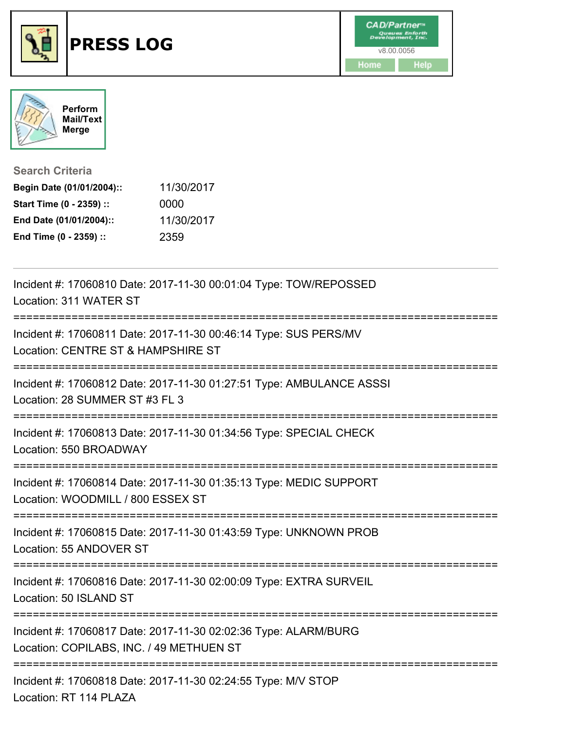





**Search Criteria**

| Begin Date (01/01/2004):: | 11/30/2017 |
|---------------------------|------------|
| Start Time (0 - 2359) ::  | 0000       |
| End Date (01/01/2004)::   | 11/30/2017 |
| End Time (0 - 2359) ::    | 2359       |

| Incident #: 17060810 Date: 2017-11-30 00:01:04 Type: TOW/REPOSSED<br>Location: 311 WATER ST                 |
|-------------------------------------------------------------------------------------------------------------|
| Incident #: 17060811 Date: 2017-11-30 00:46:14 Type: SUS PERS/MV<br>Location: CENTRE ST & HAMPSHIRE ST      |
| Incident #: 17060812 Date: 2017-11-30 01:27:51 Type: AMBULANCE ASSSI<br>Location: 28 SUMMER ST #3 FL 3      |
| Incident #: 17060813 Date: 2017-11-30 01:34:56 Type: SPECIAL CHECK<br>Location: 550 BROADWAY                |
| Incident #: 17060814 Date: 2017-11-30 01:35:13 Type: MEDIC SUPPORT<br>Location: WOODMILL / 800 ESSEX ST     |
| Incident #: 17060815 Date: 2017-11-30 01:43:59 Type: UNKNOWN PROB<br>Location: 55 ANDOVER ST                |
| Incident #: 17060816 Date: 2017-11-30 02:00:09 Type: EXTRA SURVEIL<br>Location: 50 ISLAND ST                |
| Incident #: 17060817 Date: 2017-11-30 02:02:36 Type: ALARM/BURG<br>Location: COPILABS, INC. / 49 METHUEN ST |
| Incident #: 17060818 Date: 2017-11-30 02:24:55 Type: M/V STOP<br>Location: RT 114 PLAZA                     |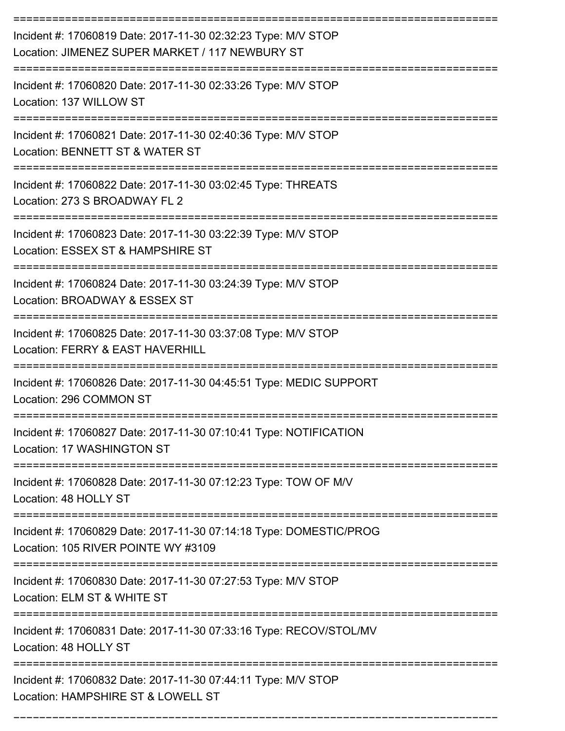| Incident #: 17060819 Date: 2017-11-30 02:32:23 Type: M/V STOP<br>Location: JIMENEZ SUPER MARKET / 117 NEWBURY ST |
|------------------------------------------------------------------------------------------------------------------|
| Incident #: 17060820 Date: 2017-11-30 02:33:26 Type: M/V STOP<br>Location: 137 WILLOW ST                         |
| Incident #: 17060821 Date: 2017-11-30 02:40:36 Type: M/V STOP<br>Location: BENNETT ST & WATER ST                 |
| Incident #: 17060822 Date: 2017-11-30 03:02:45 Type: THREATS<br>Location: 273 S BROADWAY FL 2                    |
| Incident #: 17060823 Date: 2017-11-30 03:22:39 Type: M/V STOP<br>Location: ESSEX ST & HAMPSHIRE ST               |
| Incident #: 17060824 Date: 2017-11-30 03:24:39 Type: M/V STOP<br>Location: BROADWAY & ESSEX ST                   |
| Incident #: 17060825 Date: 2017-11-30 03:37:08 Type: M/V STOP<br>Location: FERRY & EAST HAVERHILL                |
| Incident #: 17060826 Date: 2017-11-30 04:45:51 Type: MEDIC SUPPORT<br>Location: 296 COMMON ST                    |
| Incident #: 17060827 Date: 2017-11-30 07:10:41 Type: NOTIFICATION<br>Location: 17 WASHINGTON ST                  |
| Incident #: 17060828 Date: 2017-11-30 07:12:23 Type: TOW OF M/V<br>Location: 48 HOLLY ST                         |
| Incident #: 17060829 Date: 2017-11-30 07:14:18 Type: DOMESTIC/PROG<br>Location: 105 RIVER POINTE WY #3109        |
| Incident #: 17060830 Date: 2017-11-30 07:27:53 Type: M/V STOP<br>Location: ELM ST & WHITE ST                     |
| Incident #: 17060831 Date: 2017-11-30 07:33:16 Type: RECOV/STOL/MV<br>Location: 48 HOLLY ST                      |
| Incident #: 17060832 Date: 2017-11-30 07:44:11 Type: M/V STOP<br>Location: HAMPSHIRE ST & LOWELL ST              |

===========================================================================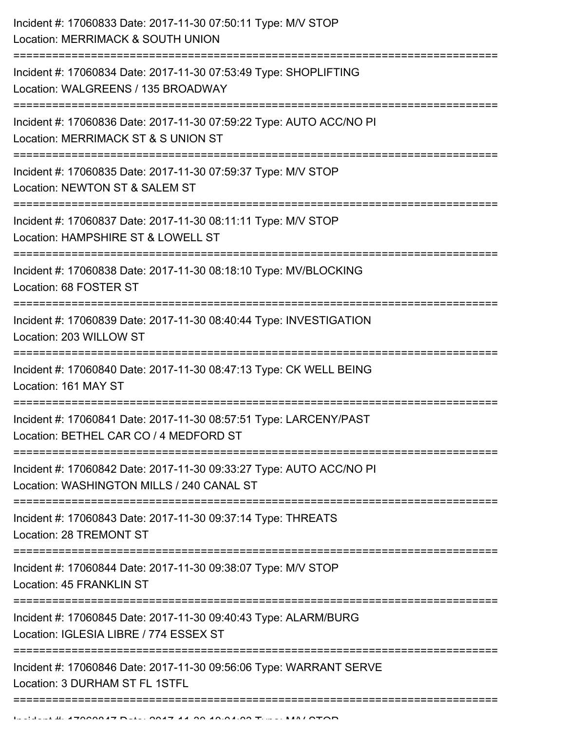| Incident #: 17060833 Date: 2017-11-30 07:50:11 Type: M/V STOP<br>Location: MERRIMACK & SOUTH UNION                                |
|-----------------------------------------------------------------------------------------------------------------------------------|
| Incident #: 17060834 Date: 2017-11-30 07:53:49 Type: SHOPLIFTING<br>Location: WALGREENS / 135 BROADWAY                            |
| Incident #: 17060836 Date: 2017-11-30 07:59:22 Type: AUTO ACC/NO PI<br>Location: MERRIMACK ST & S UNION ST                        |
| Incident #: 17060835 Date: 2017-11-30 07:59:37 Type: M/V STOP<br>Location: NEWTON ST & SALEM ST                                   |
| Incident #: 17060837 Date: 2017-11-30 08:11:11 Type: M/V STOP<br>Location: HAMPSHIRE ST & LOWELL ST                               |
| Incident #: 17060838 Date: 2017-11-30 08:18:10 Type: MV/BLOCKING<br>Location: 68 FOSTER ST                                        |
| Incident #: 17060839 Date: 2017-11-30 08:40:44 Type: INVESTIGATION<br>Location: 203 WILLOW ST                                     |
| Incident #: 17060840 Date: 2017-11-30 08:47:13 Type: CK WELL BEING<br>Location: 161 MAY ST<br>----------------------------------- |
| Incident #: 17060841 Date: 2017-11-30 08:57:51 Type: LARCENY/PAST<br>Location: BETHEL CAR CO / 4 MEDFORD ST                       |
| Incident #: 17060842 Date: 2017-11-30 09:33:27 Type: AUTO ACC/NO PI<br>Location: WASHINGTON MILLS / 240 CANAL ST                  |
| Incident #: 17060843 Date: 2017-11-30 09:37:14 Type: THREATS<br>Location: 28 TREMONT ST                                           |
| Incident #: 17060844 Date: 2017-11-30 09:38:07 Type: M/V STOP<br>Location: 45 FRANKLIN ST                                         |
| Incident #: 17060845 Date: 2017-11-30 09:40:43 Type: ALARM/BURG<br>Location: IGLESIA LIBRE / 774 ESSEX ST                         |
| Incident #: 17060846 Date: 2017-11-30 09:56:06 Type: WARRANT SERVE<br>Location: 3 DURHAM ST FL 1STFL                              |
|                                                                                                                                   |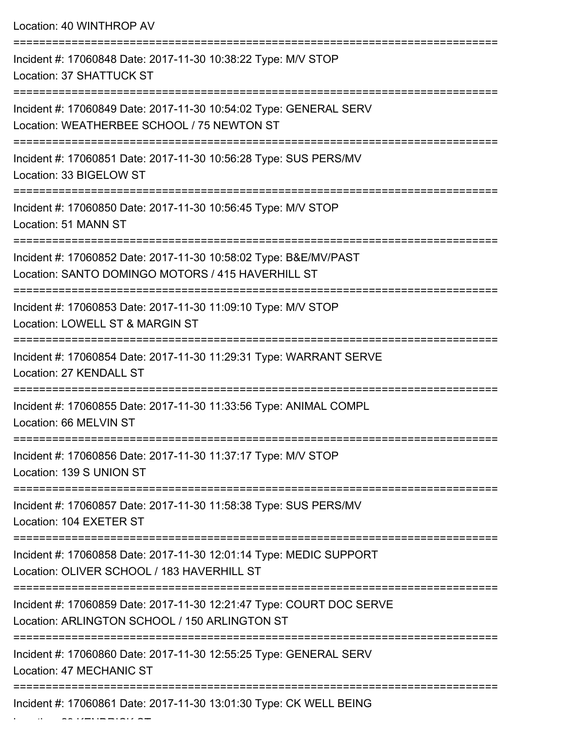| Location: 40 WINTHROP AV                                                                                              |
|-----------------------------------------------------------------------------------------------------------------------|
| Incident #: 17060848 Date: 2017-11-30 10:38:22 Type: M/V STOP<br>Location: 37 SHATTUCK ST<br>------------             |
| Incident #: 17060849 Date: 2017-11-30 10:54:02 Type: GENERAL SERV<br>Location: WEATHERBEE SCHOOL / 75 NEWTON ST       |
| Incident #: 17060851 Date: 2017-11-30 10:56:28 Type: SUS PERS/MV<br>Location: 33 BIGELOW ST                           |
| Incident #: 17060850 Date: 2017-11-30 10:56:45 Type: M/V STOP<br>Location: 51 MANN ST                                 |
| Incident #: 17060852 Date: 2017-11-30 10:58:02 Type: B&E/MV/PAST<br>Location: SANTO DOMINGO MOTORS / 415 HAVERHILL ST |
| Incident #: 17060853 Date: 2017-11-30 11:09:10 Type: M/V STOP<br>Location: LOWELL ST & MARGIN ST                      |
| Incident #: 17060854 Date: 2017-11-30 11:29:31 Type: WARRANT SERVE<br>Location: 27 KENDALL ST                         |
| Incident #: 17060855 Date: 2017-11-30 11:33:56 Type: ANIMAL COMPL<br>Location: 66 MELVIN ST                           |
| Incident #: 17060856 Date: 2017-11-30 11:37:17 Type: M/V STOP<br>Location: 139 S UNION ST                             |
| Incident #: 17060857 Date: 2017-11-30 11:58:38 Type: SUS PERS/MV<br>Location: 104 EXETER ST                           |
| Incident #: 17060858 Date: 2017-11-30 12:01:14 Type: MEDIC SUPPORT<br>Location: OLIVER SCHOOL / 183 HAVERHILL ST      |
| Incident #: 17060859 Date: 2017-11-30 12:21:47 Type: COURT DOC SERVE<br>Location: ARLINGTON SCHOOL / 150 ARLINGTON ST |
| Incident #: 17060860 Date: 2017-11-30 12:55:25 Type: GENERAL SERV<br>Location: 47 MECHANIC ST                         |
| Incident #: 17060861 Date: 2017-11-30 13:01:30 Type: CK WELL BEING                                                    |

Location: 29 KENDRICK ST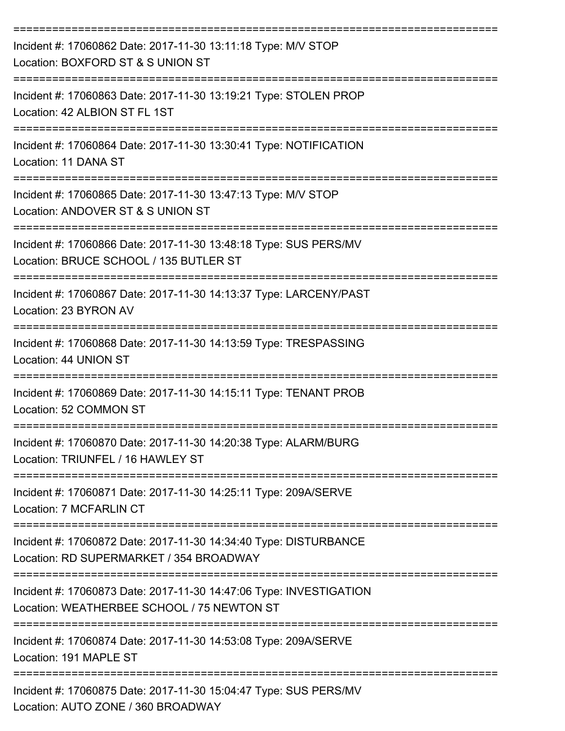| Incident #: 17060862 Date: 2017-11-30 13:11:18 Type: M/V STOP<br>Location: BOXFORD ST & S UNION ST                                                      |
|---------------------------------------------------------------------------------------------------------------------------------------------------------|
| Incident #: 17060863 Date: 2017-11-30 13:19:21 Type: STOLEN PROP<br>Location: 42 ALBION ST FL 1ST                                                       |
| Incident #: 17060864 Date: 2017-11-30 13:30:41 Type: NOTIFICATION<br>Location: 11 DANA ST                                                               |
| Incident #: 17060865 Date: 2017-11-30 13:47:13 Type: M/V STOP<br>Location: ANDOVER ST & S UNION ST                                                      |
| Incident #: 17060866 Date: 2017-11-30 13:48:18 Type: SUS PERS/MV<br>Location: BRUCE SCHOOL / 135 BUTLER ST                                              |
| Incident #: 17060867 Date: 2017-11-30 14:13:37 Type: LARCENY/PAST<br>Location: 23 BYRON AV                                                              |
| Incident #: 17060868 Date: 2017-11-30 14:13:59 Type: TRESPASSING<br>Location: 44 UNION ST                                                               |
| =========================<br>Incident #: 17060869 Date: 2017-11-30 14:15:11 Type: TENANT PROB<br>Location: 52 COMMON ST                                 |
| Incident #: 17060870 Date: 2017-11-30 14:20:38 Type: ALARM/BURG<br>Location: TRIUNFEL / 16 HAWLEY ST                                                    |
| Incident #: 17060871 Date: 2017-11-30 14:25:11 Type: 209A/SERVE<br>Location: 7 MCFARLIN CT                                                              |
| Incident #: 17060872 Date: 2017-11-30 14:34:40 Type: DISTURBANCE<br>Location: RD SUPERMARKET / 354 BROADWAY                                             |
| ___________________________________<br>Incident #: 17060873 Date: 2017-11-30 14:47:06 Type: INVESTIGATION<br>Location: WEATHERBEE SCHOOL / 75 NEWTON ST |
| Incident #: 17060874 Date: 2017-11-30 14:53:08 Type: 209A/SERVE<br>Location: 191 MAPLE ST                                                               |
| Incident #: 17060875 Date: 2017-11-30 15:04:47 Type: SUS PERS/MV<br>Location: AUTO ZONE / 360 BROADWAY                                                  |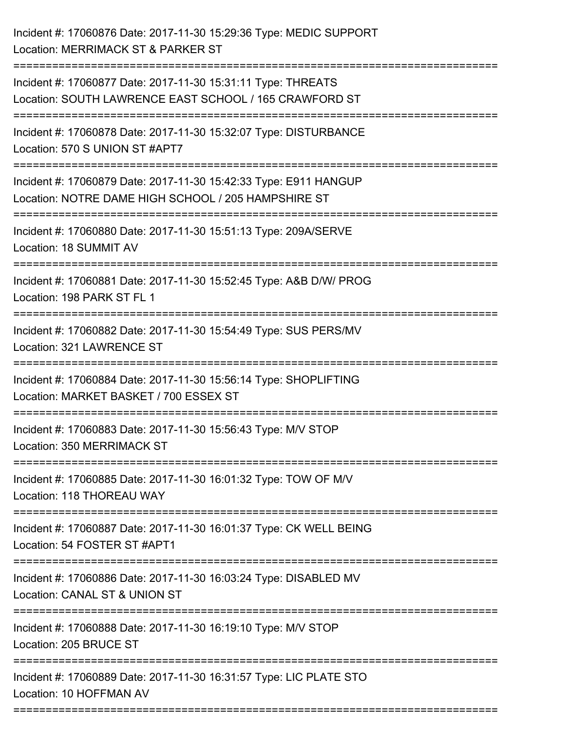| Incident #: 17060876 Date: 2017-11-30 15:29:36 Type: MEDIC SUPPORT<br>Location: MERRIMACK ST & PARKER ST                                  |
|-------------------------------------------------------------------------------------------------------------------------------------------|
| Incident #: 17060877 Date: 2017-11-30 15:31:11 Type: THREATS<br>Location: SOUTH LAWRENCE EAST SCHOOL / 165 CRAWFORD ST                    |
| Incident #: 17060878 Date: 2017-11-30 15:32:07 Type: DISTURBANCE<br>Location: 570 S UNION ST #APT7                                        |
| ==============<br>Incident #: 17060879 Date: 2017-11-30 15:42:33 Type: E911 HANGUP<br>Location: NOTRE DAME HIGH SCHOOL / 205 HAMPSHIRE ST |
| Incident #: 17060880 Date: 2017-11-30 15:51:13 Type: 209A/SERVE<br>Location: 18 SUMMIT AV                                                 |
| Incident #: 17060881 Date: 2017-11-30 15:52:45 Type: A&B D/W/ PROG<br>Location: 198 PARK ST FL 1                                          |
| Incident #: 17060882 Date: 2017-11-30 15:54:49 Type: SUS PERS/MV<br>Location: 321 LAWRENCE ST                                             |
| Incident #: 17060884 Date: 2017-11-30 15:56:14 Type: SHOPLIFTING<br>Location: MARKET BASKET / 700 ESSEX ST                                |
| Incident #: 17060883 Date: 2017-11-30 15:56:43 Type: M/V STOP<br>Location: 350 MERRIMACK ST                                               |
| Incident #: 17060885 Date: 2017-11-30 16:01:32 Type: TOW OF M/V<br>Location: 118 THOREAU WAY                                              |
| Incident #: 17060887 Date: 2017-11-30 16:01:37 Type: CK WELL BEING<br>Location: 54 FOSTER ST #APT1                                        |
| Incident #: 17060886 Date: 2017-11-30 16:03:24 Type: DISABLED MV<br>Location: CANAL ST & UNION ST                                         |
| Incident #: 17060888 Date: 2017-11-30 16:19:10 Type: M/V STOP<br>Location: 205 BRUCE ST                                                   |
| Incident #: 17060889 Date: 2017-11-30 16:31:57 Type: LIC PLATE STO<br>Location: 10 HOFFMAN AV                                             |

===========================================================================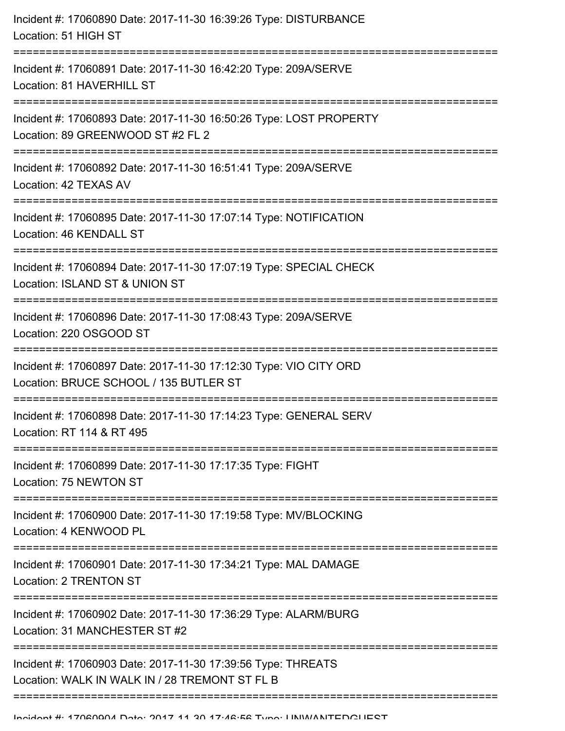| Incident #: 17060890 Date: 2017-11-30 16:39:26 Type: DISTURBANCE<br>Location: 51 HIGH ST                                               |
|----------------------------------------------------------------------------------------------------------------------------------------|
| Incident #: 17060891 Date: 2017-11-30 16:42:20 Type: 209A/SERVE<br>Location: 81 HAVERHILL ST                                           |
| Incident #: 17060893 Date: 2017-11-30 16:50:26 Type: LOST PROPERTY<br>Location: 89 GREENWOOD ST #2 FL 2                                |
| Incident #: 17060892 Date: 2017-11-30 16:51:41 Type: 209A/SERVE<br>Location: 42 TEXAS AV                                               |
| Incident #: 17060895 Date: 2017-11-30 17:07:14 Type: NOTIFICATION<br>Location: 46 KENDALL ST                                           |
| Incident #: 17060894 Date: 2017-11-30 17:07:19 Type: SPECIAL CHECK<br>Location: ISLAND ST & UNION ST<br>-----------------------        |
| Incident #: 17060896 Date: 2017-11-30 17:08:43 Type: 209A/SERVE<br>Location: 220 OSGOOD ST<br>-------------------                      |
| Incident #: 17060897 Date: 2017-11-30 17:12:30 Type: VIO CITY ORD<br>Location: BRUCE SCHOOL / 135 BUTLER ST<br>======================= |
| Incident #: 17060898 Date: 2017-11-30 17:14:23 Type: GENERAL SERV<br>Location: RT 114 & RT 495                                         |
| Incident #: 17060899 Date: 2017-11-30 17:17:35 Type: FIGHT<br>Location: 75 NEWTON ST                                                   |
| Incident #: 17060900 Date: 2017-11-30 17:19:58 Type: MV/BLOCKING<br>Location: 4 KENWOOD PL                                             |
| Incident #: 17060901 Date: 2017-11-30 17:34:21 Type: MAL DAMAGE<br>Location: 2 TRENTON ST                                              |
| Incident #: 17060902 Date: 2017-11-30 17:36:29 Type: ALARM/BURG<br>Location: 31 MANCHESTER ST #2                                       |
| Incident #: 17060903 Date: 2017-11-30 17:39:56 Type: THREATS<br>Location: WALK IN WALK IN / 28 TREMONT ST FL B                         |
|                                                                                                                                        |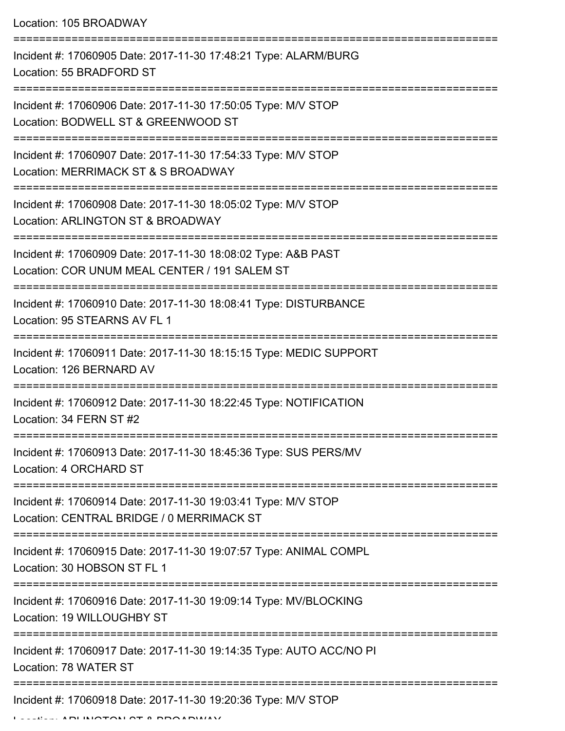Location: 105 BROADWAY

| Incident #: 17060905 Date: 2017-11-30 17:48:21 Type: ALARM/BURG<br>Location: 55 BRADFORD ST                    |
|----------------------------------------------------------------------------------------------------------------|
| Incident #: 17060906 Date: 2017-11-30 17:50:05 Type: M/V STOP<br>Location: BODWELL ST & GREENWOOD ST           |
| Incident #: 17060907 Date: 2017-11-30 17:54:33 Type: M/V STOP<br>Location: MERRIMACK ST & S BROADWAY           |
| Incident #: 17060908 Date: 2017-11-30 18:05:02 Type: M/V STOP<br>Location: ARLINGTON ST & BROADWAY             |
| Incident #: 17060909 Date: 2017-11-30 18:08:02 Type: A&B PAST<br>Location: COR UNUM MEAL CENTER / 191 SALEM ST |
| Incident #: 17060910 Date: 2017-11-30 18:08:41 Type: DISTURBANCE<br>Location: 95 STEARNS AV FL 1               |
| Incident #: 17060911 Date: 2017-11-30 18:15:15 Type: MEDIC SUPPORT<br>Location: 126 BERNARD AV                 |
| Incident #: 17060912 Date: 2017-11-30 18:22:45 Type: NOTIFICATION<br>Location: 34 FERN ST #2                   |
| Incident #: 17060913 Date: 2017-11-30 18:45:36 Type: SUS PERS/MV<br>Location: 4 ORCHARD ST                     |
| Incident #: 17060914 Date: 2017-11-30 19:03:41 Type: M/V STOP<br>Location: CENTRAL BRIDGE / 0 MERRIMACK ST     |
| Incident #: 17060915 Date: 2017-11-30 19:07:57 Type: ANIMAL COMPL<br>Location: 30 HOBSON ST FL 1               |
| Incident #: 17060916 Date: 2017-11-30 19:09:14 Type: MV/BLOCKING<br>Location: 19 WILLOUGHBY ST                 |
| Incident #: 17060917 Date: 2017-11-30 19:14:35 Type: AUTO ACC/NO PI<br>Location: 78 WATER ST                   |
| Incident #: 17060918 Date: 2017-11-30 19:20:36 Type: M/V STOP                                                  |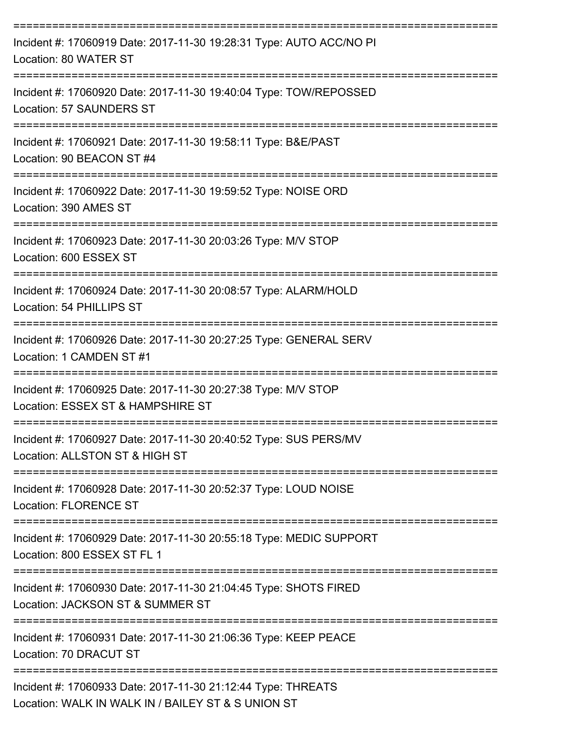| Incident #: 17060919 Date: 2017-11-30 19:28:31 Type: AUTO ACC/NO PI<br>Location: 80 WATER ST                                      |
|-----------------------------------------------------------------------------------------------------------------------------------|
| Incident #: 17060920 Date: 2017-11-30 19:40:04 Type: TOW/REPOSSED<br>Location: 57 SAUNDERS ST                                     |
| Incident #: 17060921 Date: 2017-11-30 19:58:11 Type: B&E/PAST<br>Location: 90 BEACON ST #4                                        |
| Incident #: 17060922 Date: 2017-11-30 19:59:52 Type: NOISE ORD<br>Location: 390 AMES ST                                           |
| Incident #: 17060923 Date: 2017-11-30 20:03:26 Type: M/V STOP<br>Location: 600 ESSEX ST                                           |
| Incident #: 17060924 Date: 2017-11-30 20:08:57 Type: ALARM/HOLD<br>Location: 54 PHILLIPS ST                                       |
| Incident #: 17060926 Date: 2017-11-30 20:27:25 Type: GENERAL SERV<br>Location: 1 CAMDEN ST #1                                     |
| Incident #: 17060925 Date: 2017-11-30 20:27:38 Type: M/V STOP<br>Location: ESSEX ST & HAMPSHIRE ST                                |
| Incident #: 17060927 Date: 2017-11-30 20:40:52 Type: SUS PERS/MV<br>Location: ALLSTON ST & HIGH ST                                |
| Incident #: 17060928 Date: 2017-11-30 20:52:37 Type: LOUD NOISE<br><b>Location: FLORENCE ST</b>                                   |
| Incident #: 17060929 Date: 2017-11-30 20:55:18 Type: MEDIC SUPPORT<br>Location: 800 ESSEX ST FL 1                                 |
| -------------------------<br>Incident #: 17060930 Date: 2017-11-30 21:04:45 Type: SHOTS FIRED<br>Location: JACKSON ST & SUMMER ST |
| Incident #: 17060931 Date: 2017-11-30 21:06:36 Type: KEEP PEACE<br>Location: 70 DRACUT ST                                         |
| Incident #: 17060933 Date: 2017-11-30 21:12:44 Type: THREATS<br>Location: WALK IN WALK IN / BAILEY ST & S UNION ST                |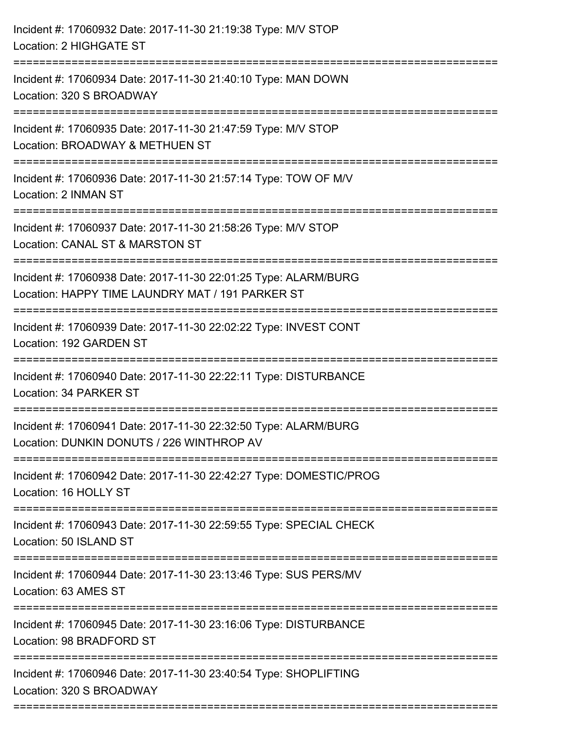| Incident #: 17060932 Date: 2017-11-30 21:19:38 Type: M/V STOP<br>Location: 2 HIGHGATE ST                                                                             |
|----------------------------------------------------------------------------------------------------------------------------------------------------------------------|
| Incident #: 17060934 Date: 2017-11-30 21:40:10 Type: MAN DOWN<br>Location: 320 S BROADWAY                                                                            |
| Incident #: 17060935 Date: 2017-11-30 21:47:59 Type: M/V STOP<br>Location: BROADWAY & METHUEN ST                                                                     |
| Incident #: 17060936 Date: 2017-11-30 21:57:14 Type: TOW OF M/V<br>Location: 2 INMAN ST                                                                              |
| Incident #: 17060937 Date: 2017-11-30 21:58:26 Type: M/V STOP<br>Location: CANAL ST & MARSTON ST                                                                     |
| Incident #: 17060938 Date: 2017-11-30 22:01:25 Type: ALARM/BURG<br>Location: HAPPY TIME LAUNDRY MAT / 191 PARKER ST<br><u> : = = = = = = = = = = = = = = = = = =</u> |
| Incident #: 17060939 Date: 2017-11-30 22:02:22 Type: INVEST CONT<br>Location: 192 GARDEN ST                                                                          |
| Incident #: 17060940 Date: 2017-11-30 22:22:11 Type: DISTURBANCE<br>Location: 34 PARKER ST                                                                           |
| Incident #: 17060941 Date: 2017-11-30 22:32:50 Type: ALARM/BURG<br>Location: DUNKIN DONUTS / 226 WINTHROP AV                                                         |
| Incident #: 17060942 Date: 2017-11-30 22:42:27 Type: DOMESTIC/PROG<br>Location: 16 HOLLY ST                                                                          |
| Incident #: 17060943 Date: 2017-11-30 22:59:55 Type: SPECIAL CHECK<br>Location: 50 ISLAND ST                                                                         |
| Incident #: 17060944 Date: 2017-11-30 23:13:46 Type: SUS PERS/MV<br>Location: 63 AMES ST                                                                             |
| Incident #: 17060945 Date: 2017-11-30 23:16:06 Type: DISTURBANCE<br>Location: 98 BRADFORD ST                                                                         |
| Incident #: 17060946 Date: 2017-11-30 23:40:54 Type: SHOPLIFTING<br>Location: 320 S BROADWAY                                                                         |
|                                                                                                                                                                      |